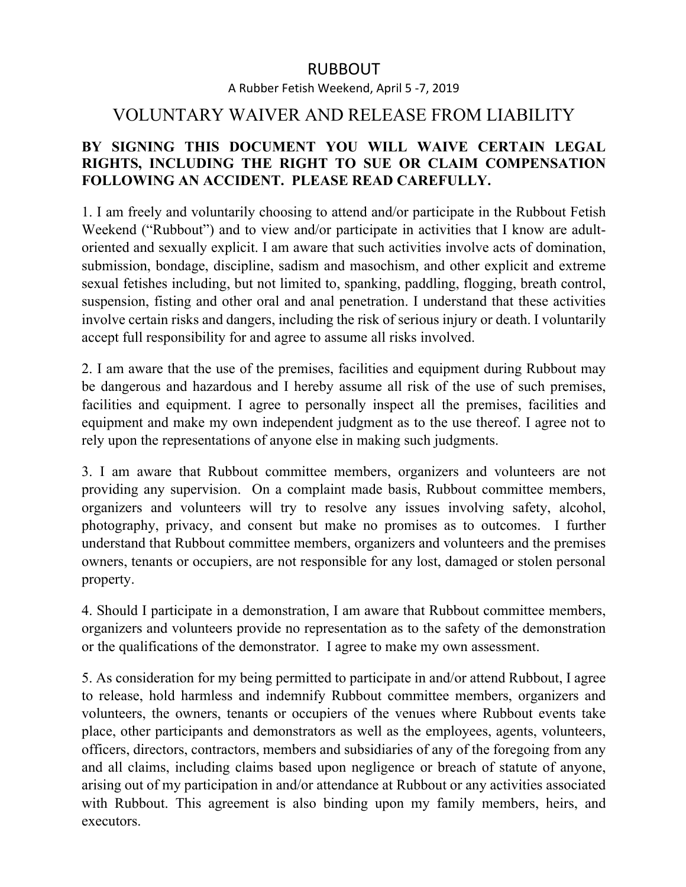## RUBBOUT

A Rubber Fetish Weekend, April 5 -7, 2019

## VOLUNTARY WAIVER AND RELEASE FROM LIABILITY

## **BY SIGNING THIS DOCUMENT YOU WILL WAIVE CERTAIN LEGAL RIGHTS, INCLUDING THE RIGHT TO SUE OR CLAIM COMPENSATION FOLLOWING AN ACCIDENT. PLEASE READ CAREFULLY.**

1. I am freely and voluntarily choosing to attend and/or participate in the Rubbout Fetish Weekend ("Rubbout") and to view and/or participate in activities that I know are adultoriented and sexually explicit. I am aware that such activities involve acts of domination, submission, bondage, discipline, sadism and masochism, and other explicit and extreme sexual fetishes including, but not limited to, spanking, paddling, flogging, breath control, suspension, fisting and other oral and anal penetration. I understand that these activities involve certain risks and dangers, including the risk of serious injury or death. I voluntarily accept full responsibility for and agree to assume all risks involved.

2. I am aware that the use of the premises, facilities and equipment during Rubbout may be dangerous and hazardous and I hereby assume all risk of the use of such premises, facilities and equipment. I agree to personally inspect all the premises, facilities and equipment and make my own independent judgment as to the use thereof. I agree not to rely upon the representations of anyone else in making such judgments.

3. I am aware that Rubbout committee members, organizers and volunteers are not providing any supervision. On a complaint made basis, Rubbout committee members, organizers and volunteers will try to resolve any issues involving safety, alcohol, photography, privacy, and consent but make no promises as to outcomes. I further understand that Rubbout committee members, organizers and volunteers and the premises owners, tenants or occupiers, are not responsible for any lost, damaged or stolen personal property.

4. Should I participate in a demonstration, I am aware that Rubbout committee members, organizers and volunteers provide no representation as to the safety of the demonstration or the qualifications of the demonstrator. I agree to make my own assessment.

5. As consideration for my being permitted to participate in and/or attend Rubbout, I agree to release, hold harmless and indemnify Rubbout committee members, organizers and volunteers, the owners, tenants or occupiers of the venues where Rubbout events take place, other participants and demonstrators as well as the employees, agents, volunteers, officers, directors, contractors, members and subsidiaries of any of the foregoing from any and all claims, including claims based upon negligence or breach of statute of anyone, arising out of my participation in and/or attendance at Rubbout or any activities associated with Rubbout. This agreement is also binding upon my family members, heirs, and executors.